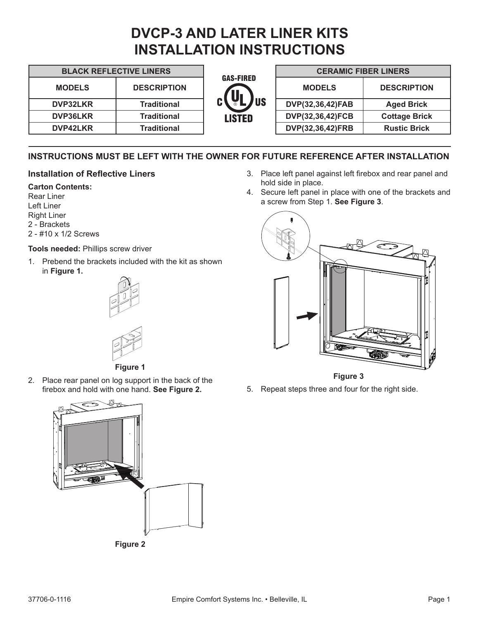# **DVCP-3 AND LATER LINER KITS INSTALLATION INSTRUCTIONS**

| <b>BLACK REFLECTIVE LINERS</b> |                    |                                 | <b>CERAMIC FIBER LINERS</b> |                      |
|--------------------------------|--------------------|---------------------------------|-----------------------------|----------------------|
| <b>MODELS</b>                  | <b>DESCRIPTION</b> | <b>GAS-FIRED</b><br>$c(U_L)$ us | <b>MODELS</b>               | <b>DESCRIPTION</b>   |
| <b>DVP32LKR</b>                | Traditional        |                                 | DVP(32,36,42)FAB            | <b>Aged Brick</b>    |
| <b>DVP36LKR</b>                | Traditional        | <b>LISTED</b>                   | DVP(32,36,42)FCB            | <b>Cottage Brick</b> |
| <b>DVP42LKR</b>                | <b>Traditional</b> |                                 | DVP(32,36,42)FRB            | <b>Rustic Brick</b>  |

# **INSTRUCTIONS MUST BE LEFT WITH THE OWNER FOR FUTURE REFERENCE AFTER INSTALLATION**

## **Installation of Reflective Liners**

#### **Carton Contents:**

Rear Liner Left Liner Right Liner 2 - Brackets 2 - #10 x 1/2 Screws

#### **Tools needed:** Phillips screw driver

1. Prebend the brackets included with the kit as shown in **Figure 1.**





**Figure 1**

2. Place rear panel on log support in the back of the firebox and hold with one hand. **See Figure 2.**



- 3. Place left panel against left firebox and rear panel and hold side in place.
- 4. Secure left panel in place with one of the brackets and a screw from Step 1. **See Figure 3**.



**Figure 3**

5. Repeat steps three and four for the right side.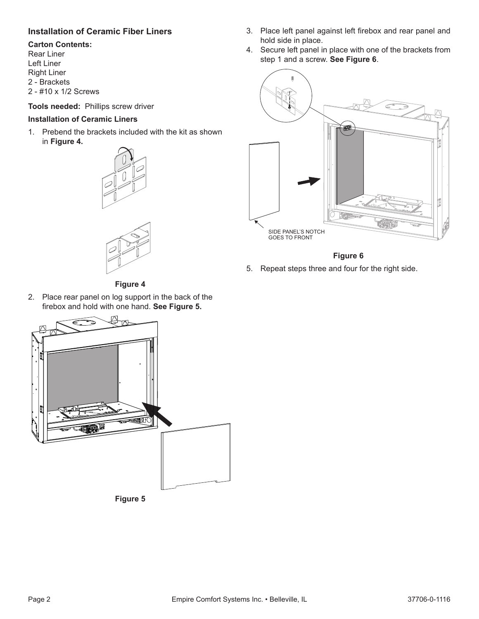# **Installation of Ceramic Fiber Liners**

#### **Carton Contents:**

Rear Liner Left Liner Right Liner 2 - Brackets 2 - #10 x 1/2 Screws

**Tools needed:** Phillips screw driver

#### **Installation of Ceramic Liners**

1. Prebend the brackets included with the kit as shown in **Figure 4.**





**Figure 4**

2. Place rear panel on log support in the back of the firebox and hold with one hand. **See Figure 5.**





- 3. Place left panel against left firebox and rear panel and hold side in place.
- 4. Secure left panel in place with one of the brackets from step 1 and a screw. **See Figure 6**.



**Figure 6**

5. Repeat steps three and four for the right side.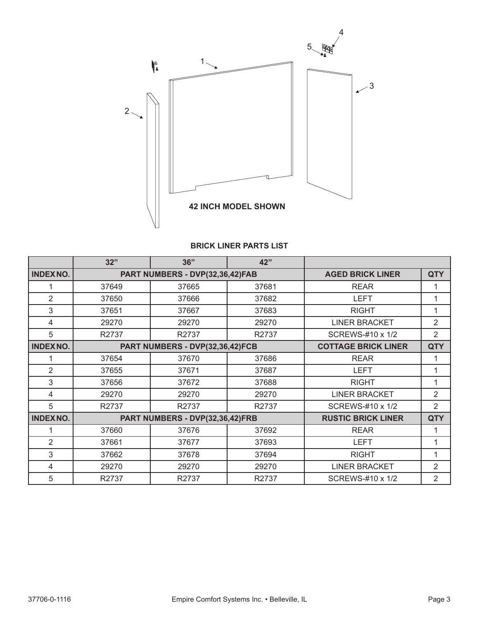

## **BRICK LINER PARTS LIST**

|                 | 32"                             | 36"                             | 42"                     |                            |                |
|-----------------|---------------------------------|---------------------------------|-------------------------|----------------------------|----------------|
| <b>INDEXNO.</b> |                                 | PART NUMBERS - DVP(32,36,42)FAB | <b>AGED BRICK LINER</b> | <b>QTY</b>                 |                |
|                 | 37649                           | 37665                           | 37681                   | <b>REAR</b>                | 1              |
| $\overline{2}$  | 37650                           | 37666                           | 37682                   | <b>LEFT</b>                | 1              |
| 3               | 37651                           | 37667                           | 37683                   | <b>RIGHT</b>               | 1              |
| 4               | 29270                           | 29270                           | 29270                   | <b>LINER BRACKET</b>       | $\overline{2}$ |
| 5               | R2737                           | R2737                           | R2737                   | SCREWS-#10 x 1/2           | 2              |
| <b>INDEXNO.</b> | PART NUMBERS - DVP(32,36,42)FCB |                                 |                         | <b>COTTAGE BRICK LINER</b> | <b>QTY</b>     |
|                 | 37654                           | 37670                           | 37686                   | <b>REAR</b>                | 1              |
| 2               | 37655                           | 37671                           | 37687                   | <b>LEFT</b>                | 1              |
| 3               | 37656                           | 37672                           | 37688                   | <b>RIGHT</b>               | 1              |
| 4               | 29270                           | 29270                           | 29270                   | <b>LINER BRACKET</b>       | $\overline{2}$ |
| 5               | R2737                           | R2737                           | R2737                   | SCREWS-#10 x 1/2           | 2              |
| <b>INDEXNO.</b> | PART NUMBERS - DVP(32,36,42)FRB |                                 |                         | <b>RUSTIC BRICK LINER</b>  | <b>QTY</b>     |
| 1               | 37660                           | 37676                           | 37692                   | <b>REAR</b>                | 1              |
| 2               | 37661                           | 37677                           | 37693                   | <b>LEFT</b>                | 1              |
| 3               | 37662                           | 37678                           | 37694                   | <b>RIGHT</b>               | 1              |
| 4               | 29270                           | 29270                           | 29270                   | <b>LINER BRACKET</b>       | 2              |
| 5               | R2737                           | R2737                           | R2737                   | SCREWS-#10 x 1/2           | 2              |